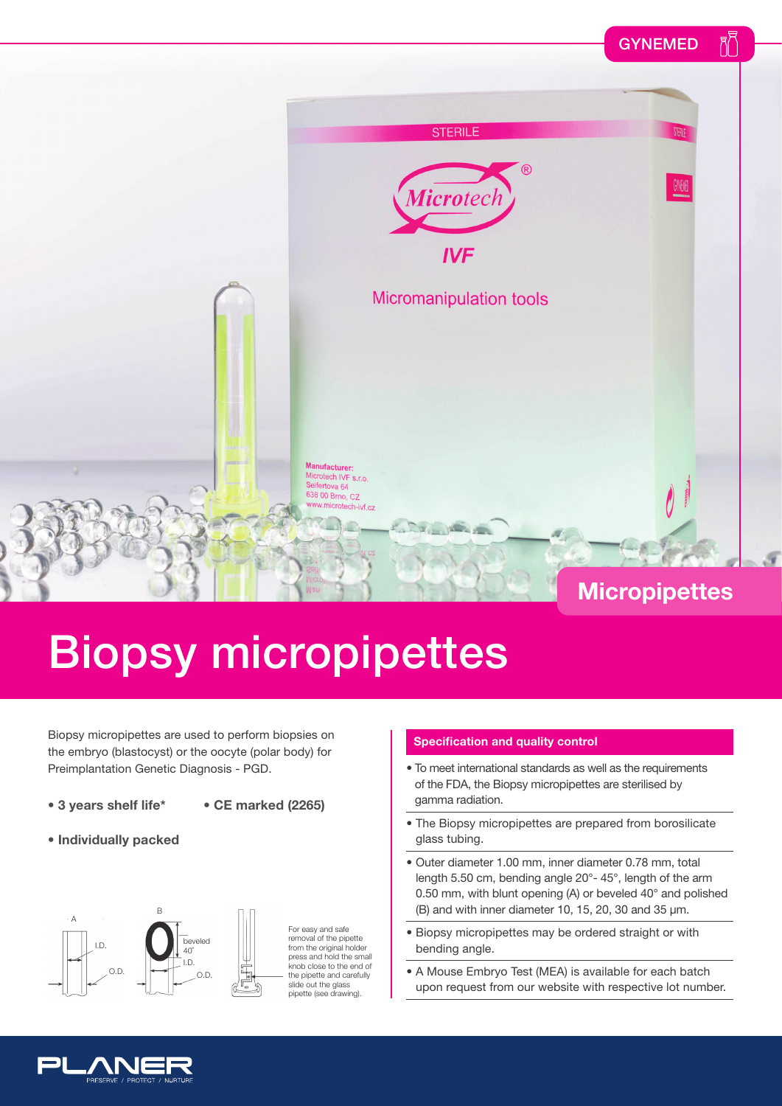## GYNEMED



## Biopsy micropipettes

Biopsy micropipettes are used to perform biopsies on the embryo (blastocyst) or the oocyte (polar body) for Preimplantation Genetic Diagnosis - PGD.

- **3 years shelf life\***
- **CE marked (2265)**
- **Individually packed**



For easy and safe removal of the pipette from the original holder press and hold the small knob close to the end of the pipette and carefully slide out the glass pipette (see drawing).

## **Specification and quality control**

- To meet international standards as well as the requirements of the FDA, the Biopsy micropipettes are sterilised by gamma radiation.
- The Biopsy micropipettes are prepared from borosilicate glass tubing.
- Outer diameter 1.00 mm, inner diameter 0.78 mm, total length 5.50 cm, bending angle 20°- 45°, length of the arm 0.50 mm, with blunt opening (A) or beveled 40° and polished (B) and with inner diameter 10, 15, 20, 30 and 35  $\mu$ m.
- Biopsy micropipettes may be ordered straight or with bending angle.
- A Mouse Embryo Test (MEA) is available for each batch upon request from our website with respective lot number.